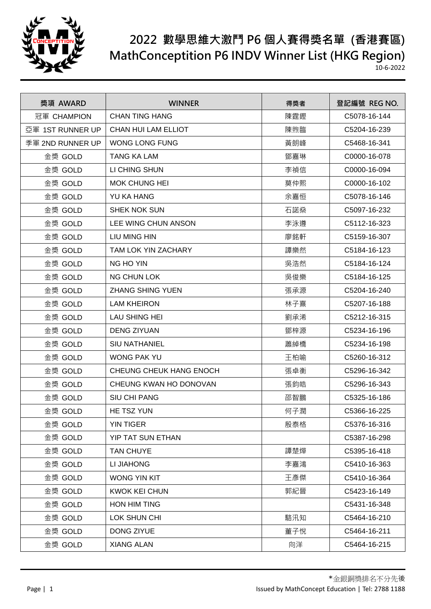

| 獎項 AWARD         | <b>WINNER</b>              | 得獎者 | 登記編號 REG NO. |
|------------------|----------------------------|-----|--------------|
| 冠軍 CHAMPION      | <b>CHAN TING HANG</b>      | 陳霆鏗 | C5078-16-144 |
| 亞軍 1ST RUNNER UP | <b>CHAN HUI LAM ELLIOT</b> | 陳煦臨 | C5204-16-239 |
| 季軍 2ND RUNNER UP | <b>WONG LONG FUNG</b>      | 黃朗峰 | C5468-16-341 |
| 金獎 GOLD          | <b>TANG KA LAM</b>         | 鄧嘉琳 | C0000-16-078 |
| 金獎 GOLD          | LI CHING SHUN              | 李禎信 | C0000-16-094 |
| 金獎 GOLD          | <b>MOK CHUNG HEI</b>       | 莫仲熙 | C0000-16-102 |
| 金獎 GOLD          | <b>YU KA HANG</b>          | 余嘉恒 | C5078-16-146 |
| 金獎 GOLD          | <b>SHEK NOK SUN</b>        | 石諾燊 | C5097-16-232 |
| 金獎 GOLD          | LEE WING CHUN ANSON        | 李泳遵 | C5112-16-323 |
| 金獎 GOLD          | LIU MING HIN               | 廖銘軒 | C5159-16-307 |
| 金獎 GOLD          | <b>TAM LOK YIN ZACHARY</b> | 譚樂然 | C5184-16-123 |
| 金獎 GOLD          | NG HO YIN                  | 吳浩然 | C5184-16-124 |
| 金獎 GOLD          | <b>NG CHUN LOK</b>         | 吳俊樂 | C5184-16-125 |
| 金獎 GOLD          | <b>ZHANG SHING YUEN</b>    | 張承源 | C5204-16-240 |
| 金獎 GOLD          | <b>LAM KHEIRON</b>         | 林子熹 | C5207-16-188 |
| 金獎 GOLD          | <b>LAU SHING HEI</b>       | 劉承浠 | C5212-16-315 |
| 金獎 GOLD          | <b>DENG ZIYUAN</b>         | 鄧梓源 | C5234-16-196 |
| 金獎 GOLD          | <b>SIU NATHANIEL</b>       | 蕭綽橋 | C5234-16-198 |
| 金獎 GOLD          | <b>WONG PAK YU</b>         | 王柏喻 | C5260-16-312 |
| 金獎 GOLD          | CHEUNG CHEUK HANG ENOCH    | 張卓衡 | C5296-16-342 |
| 金獎 GOLD          | CHEUNG KWAN HO DONOVAN     | 張鈞皓 | C5296-16-343 |
| 金獎 GOLD          | <b>SIU CHI PANG</b>        | 邵智鵬 | C5325-16-186 |
| 金獎 GOLD          | HE TSZ YUN                 | 何子潤 | C5366-16-225 |
| 金獎 GOLD          | <b>YIN TIGER</b>           | 殷泰格 | C5376-16-316 |
| 金獎 GOLD          | YIP TAT SUN ETHAN          |     | C5387-16-298 |
| 金獎 GOLD          | <b>TAN CHUYE</b>           | 譚楚燁 | C5395-16-418 |
| 金獎 GOLD          | LI JIAHONG                 | 李嘉鴻 | C5410-16-363 |
| 金獎 GOLD          | <b>WONG YIN KIT</b>        | 王彥傑 | C5410-16-364 |
| 金獎 GOLD          | <b>KWOK KEI CHUN</b>       | 郭紀晉 | C5423-16-149 |
| 金獎 GOLD          | <b>HON HIM TING</b>        |     | C5431-16-348 |
| 金獎 GOLD          | LOK SHUN CHI               | 駱汛知 | C5464-16-210 |
| 金獎 GOLD          | DONG ZIYUE                 | 董子悅 | C5464-16-211 |
| 金獎 GOLD          | <b>XIANG ALAN</b>          | 向洋  | C5464-16-215 |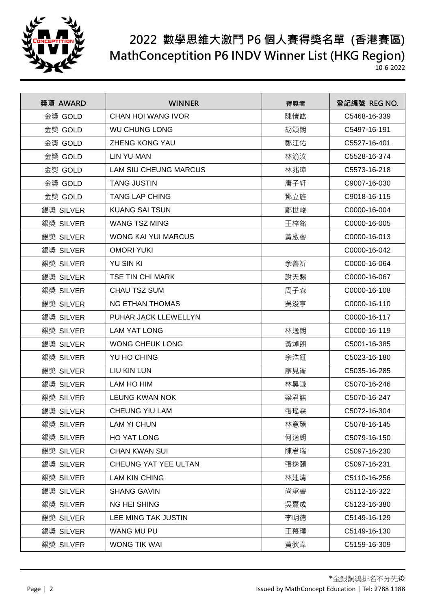

| 獎項 AWARD  | <b>WINNER</b>                | 得獎者 | 登記編號 REG NO. |
|-----------|------------------------------|-----|--------------|
| 金獎 GOLD   | <b>CHAN HOI WANG IVOR</b>    | 陳愷竑 | C5468-16-339 |
| 金獎 GOLD   | <b>WU CHUNG LONG</b>         | 胡頌朗 | C5497-16-191 |
| 金獎 GOLD   | <b>ZHENG KONG YAU</b>        | 鄭江佑 | C5527-16-401 |
| 金獎 GOLD   | <b>LIN YU MAN</b>            | 林渝汶 | C5528-16-374 |
| 金獎 GOLD   | <b>LAM SIU CHEUNG MARCUS</b> | 林兆璋 | C5573-16-218 |
| 金獎 GOLD   | <b>TANG JUSTIN</b>           | 唐子轩 | C9007-16-030 |
| 金獎 GOLD   | <b>TANG LAP CHING</b>        | 鄧立旌 | C9018-16-115 |
| 銀獎 SILVER | <b>KUANG SAI TSUN</b>        | 鄺世峻 | C0000-16-004 |
| 銀獎 SILVER | <b>WANG TSZ MING</b>         | 王梓銘 | C0000-16-005 |
| 銀獎 SILVER | WONG KAI YUI MARCUS          | 黃啟睿 | C0000-16-013 |
| 銀獎 SILVER | <b>OMORI YUKI</b>            |     | C0000-16-042 |
| 銀獎 SILVER | <b>YU SIN KI</b>             | 余善祈 | C0000-16-064 |
| 銀獎 SILVER | <b>TSE TIN CHI MARK</b>      | 謝天賜 | C0000-16-067 |
| 銀獎 SILVER | CHAU TSZ SUM                 | 周子森 | C0000-16-108 |
| 銀獎 SILVER | <b>NG ETHAN THOMAS</b>       | 吳浚亨 | C0000-16-110 |
| 銀獎 SILVER | PUHAR JACK LLEWELLYN         |     | C0000-16-117 |
| 銀獎 SILVER | <b>LAM YAT LONG</b>          | 林逸朗 | C0000-16-119 |
| 銀獎 SILVER | <b>WONG CHEUK LONG</b>       | 黃焯朗 | C5001-16-385 |
| 銀獎 SILVER | YU HO CHING                  | 余浩鉦 | C5023-16-180 |
| 銀獎 SILVER | LIU KIN LUN                  | 廖見崙 | C5035-16-285 |
| 銀獎 SILVER | LAM HO HIM                   | 林昊謙 | C5070-16-246 |
| 銀獎 SILVER | <b>LEUNG KWAN NOK</b>        | 梁君諾 | C5070-16-247 |
| 銀獎 SILVER | CHEUNG YIU LAM               | 張瑤霖 | C5072-16-304 |
| 銀獎 SILVER | <b>LAM YI CHUN</b>           | 林意臻 | C5078-16-145 |
| 銀獎 SILVER | HO YAT LONG                  | 何逸朗 | C5079-16-150 |
| 銀獎 SILVER | <b>CHAN KWAN SUI</b>         | 陳君瑞 | C5097-16-230 |
| 銀獎 SILVER | CHEUNG YAT YEE ULTAN         | 張逸頤 | C5097-16-231 |
| 銀獎 SILVER | <b>LAM KIN CHING</b>         | 林建清 | C5110-16-256 |
| 銀獎 SILVER | <b>SHANG GAVIN</b>           | 尚承睿 | C5112-16-322 |
| 銀獎 SILVER | <b>NG HEI SHING</b>          | 吳熹成 | C5123-16-380 |
| 銀獎 SILVER | LEE MING TAK JUSTIN          | 李明德 | C5149-16-129 |
| 銀獎 SILVER | WANG MU PU                   | 王慕璞 | C5149-16-130 |
| 銀獎 SILVER | WONG TIK WAI                 | 黃狄韋 | C5159-16-309 |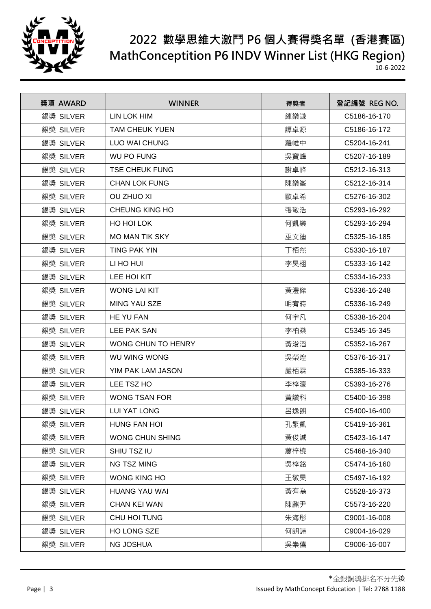

| 獎項 AWARD  | <b>WINNER</b>             | 得獎者 | 登記編號 REG NO. |
|-----------|---------------------------|-----|--------------|
| 銀獎 SILVER | <b>LIN LOK HIM</b>        | 練樂謙 | C5186-16-170 |
| 銀獎 SILVER | <b>TAM CHEUK YUEN</b>     | 譚卓源 | C5186-16-172 |
| 銀獎 SILVER | <b>LUO WAI CHUNG</b>      | 羅帷中 | C5204-16-241 |
| 銀獎 SILVER | <b>WU PO FUNG</b>         | 吳寶峰 | C5207-16-189 |
| 銀獎 SILVER | <b>TSE CHEUK FUNG</b>     | 謝卓峰 | C5212-16-313 |
| 銀獎 SILVER | <b>CHAN LOK FUNG</b>      | 陳樂峯 | C5212-16-314 |
| 銀獎 SILVER | <b>OU ZHUO XI</b>         | 歐卓希 | C5276-16-302 |
| 銀獎 SILVER | CHEUNG KING HO            | 張敬浩 | C5293-16-292 |
| 銀獎 SILVER | HO HOI LOK                | 何凱樂 | C5293-16-294 |
| 銀獎 SILVER | <b>MO MAN TIK SKY</b>     | 巫文廸 | C5325-16-185 |
| 銀獎 SILVER | TING PAK YIN              | 丁栢然 | C5330-16-187 |
| 銀獎 SILVER | LI HO HUI                 | 李昊栩 | C5333-16-142 |
| 銀獎 SILVER | LEE HOI KIT               |     | C5334-16-233 |
| 銀獎 SILVER | <b>WONG LAI KIT</b>       | 黃澧傑 | C5336-16-248 |
| 銀獎 SILVER | <b>MING YAU SZE</b>       | 明宥時 | C5336-16-249 |
| 銀獎 SILVER | HE YU FAN                 | 何宇凡 | C5338-16-204 |
| 銀獎 SILVER | LEE PAK SAN               | 李柏燊 | C5345-16-345 |
| 銀獎 SILVER | <b>WONG CHUN TO HENRY</b> | 黃浚滔 | C5352-16-267 |
| 銀獎 SILVER | WU WING WONG              | 吳榮煌 | C5376-16-317 |
| 銀獎 SILVER | YIM PAK LAM JASON         | 嚴栢霖 | C5385-16-333 |
| 銀獎 SILVER | LEE TSZ HO                | 李梓濠 | C5393-16-276 |
| 銀獎 SILVER | <b>WONG TSAN FOR</b>      | 黃讚科 | C5400-16-398 |
| 銀獎 SILVER | <b>LUI YAT LONG</b>       | 呂逸朗 | C5400-16-400 |
| 銀獎 SILVER | <b>HUNG FAN HOI</b>       | 孔繁凱 | C5419-16-361 |
| 銀獎 SILVER | WONG CHUN SHING           | 黃俊誠 | C5423-16-147 |
| 銀獎 SILVER | SHIU TSZ IU               | 蕭梓橈 | C5468-16-340 |
| 銀獎 SILVER | NG TSZ MING               | 吳梓銘 | C5474-16-160 |
| 銀獎 SILVER | WONG KING HO              | 王敬昊 | C5497-16-192 |
| 銀獎 SILVER | <b>HUANG YAU WAI</b>      | 黃有為 | C5528-16-373 |
| 銀獎 SILVER | <b>CHAN KEI WAN</b>       | 陳麒尹 | C5573-16-220 |
| 銀獎 SILVER | CHU HOI TUNG              | 朱海彤 | C9001-16-008 |
| 銀獎 SILVER | HO LONG SZE               | 何朗詩 | C9004-16-029 |
| 銀獎 SILVER | <b>NG JOSHUA</b>          | 吳崇僖 | C9006-16-007 |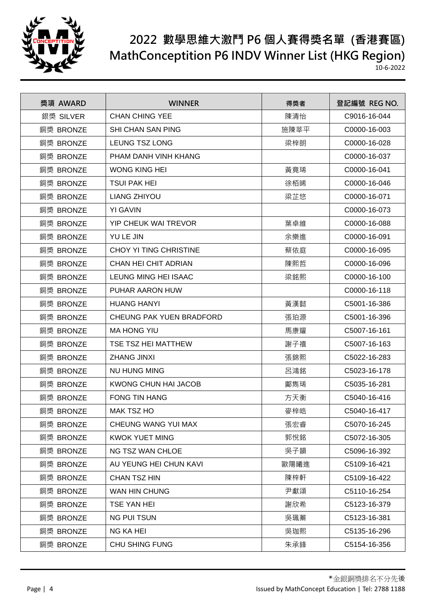

| 獎項 AWARD  | <b>WINNER</b>            | 得獎者  | 登記編號 REG NO. |
|-----------|--------------------------|------|--------------|
| 銀獎 SILVER | <b>CHAN CHING YEE</b>    | 陳清怡  | C9016-16-044 |
| 銅獎 BRONZE | <b>SHI CHAN SAN PING</b> | 施陳莘平 | C0000-16-003 |
| 銅獎 BRONZE | LEUNG TSZ LONG           | 梁梓朗  | C0000-16-028 |
| 銅獎 BRONZE | PHAM DANH VINH KHANG     |      | C0000-16-037 |
| 銅獎 BRONZE | <b>WONG KING HEI</b>     | 黃竟琋  | C0000-16-041 |
| 銅獎 BRONZE | <b>TSUI PAK HEI</b>      | 徐栢晞  | C0000-16-046 |
| 銅獎 BRONZE | LIANG ZHIYOU             | 梁芷悠  | C0000-16-071 |
| 銅獎 BRONZE | <b>YI GAVIN</b>          |      | C0000-16-073 |
| 銅獎 BRONZE | YIP CHEUK WAI TREVOR     | 葉卓維  | C0000-16-088 |
| 銅獎 BRONZE | YU LE JIN                | 余樂進  | C0000-16-091 |
| 銅獎 BRONZE | CHOY YI TING CHRISTINE   | 蔡依庭  | C0000-16-095 |
| 銅獎 BRONZE | CHAN HEI CHIT ADRIAN     | 陳熙哲  | C0000-16-096 |
| 銅獎 BRONZE | LEUNG MING HEI ISAAC     | 梁銘熙  | C0000-16-100 |
| 銅獎 BRONZE | PUHAR AARON HUW          |      | C0000-16-118 |
| 銅獎 BRONZE | <b>HUANG HANYI</b>       | 黃漢懿  | C5001-16-386 |
| 銅獎 BRONZE | CHEUNG PAK YUEN BRADFORD | 張珀源  | C5001-16-396 |
| 銅獎 BRONZE | <b>MA HONG YIU</b>       | 馬康耀  | C5007-16-161 |
| 銅獎 BRONZE | TSE TSZ HEI MATTHEW      | 謝子禧  | C5007-16-163 |
| 銅獎 BRONZE | <b>ZHANG JINXI</b>       | 張錦熙  | C5022-16-283 |
| 銅獎 BRONZE | NU HUNG MING             | 呂鴻銘  | C5023-16-178 |
| 銅獎 BRONZE | KWONG CHUN HAI JACOB     | 鄺雋琋  | C5035-16-281 |
| 銅獎 BRONZE | <b>FONG TIN HANG</b>     | 方天衡  | C5040-16-416 |
| 銅獎 BRONZE | <b>MAK TSZ HO</b>        | 麥梓皓  | C5040-16-417 |
| 銅獎 BRONZE | CHEUNG WANG YUI MAX      | 張宏睿  | C5070-16-245 |
| 銅獎 BRONZE | <b>KWOK YUET MING</b>    | 郭悅銘  | C5072-16-305 |
| 銅獎 BRONZE | NG TSZ WAN CHLOE         | 吳子韻  | C5096-16-392 |
| 銅獎 BRONZE | AU YEUNG HEI CHUN KAVI   | 歐陽曦進 | C5109-16-421 |
| 銅獎 BRONZE | <b>CHAN TSZ HIN</b>      | 陳梓軒  | C5109-16-422 |
| 銅獎 BRONZE | WAN HIN CHUNG            | 尹獻頌  | C5110-16-254 |
| 銅獎 BRONZE | <b>TSE YAN HEI</b>       | 謝欣希  | C5123-16-379 |
| 銅獎 BRONZE | <b>NG PUI TSUN</b>       | 吳珮蓁  | C5123-16-381 |
| 銅獎 BRONZE | <b>NG KA HEI</b>         | 吳珈熙  | C5135-16-296 |
| 銅獎 BRONZE | CHU SHING FUNG           | 朱承鋒  | C5154-16-356 |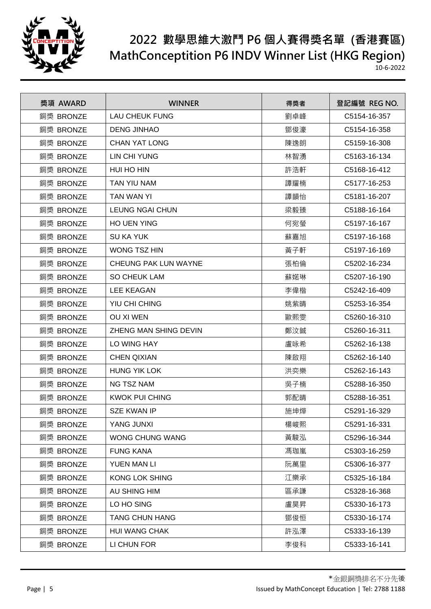

| 獎項 AWARD  | <b>WINNER</b>               | 得獎者 | 登記編號 REG NO. |
|-----------|-----------------------------|-----|--------------|
| 銅獎 BRONZE | <b>LAU CHEUK FUNG</b>       | 劉卓峰 | C5154-16-357 |
| 銅獎 BRONZE | <b>DENG JINHAO</b>          | 鄧俊濠 | C5154-16-358 |
| 銅獎 BRONZE | <b>CHAN YAT LONG</b>        | 陳逸朗 | C5159-16-308 |
| 銅獎 BRONZE | <b>LIN CHI YUNG</b>         | 林智湧 | C5163-16-134 |
| 銅獎 BRONZE | HUI HO HIN                  | 許浩軒 | C5168-16-412 |
| 銅獎 BRONZE | TAN YIU NAM                 | 譚耀楠 | C5177-16-253 |
| 銅獎 BRONZE | TAN WAN YI                  | 譚韻怡 | C5181-16-207 |
| 銅獎 BRONZE | <b>LEUNG NGAI CHUN</b>      | 梁毅臻 | C5188-16-164 |
| 銅獎 BRONZE | <b>HO UEN YING</b>          | 何宛螢 | C5197-16-167 |
| 銅獎 BRONZE | <b>SU KA YUK</b>            | 蘇嘉旭 | C5197-16-168 |
| 銅獎 BRONZE | <b>WONG TSZ HIN</b>         | 黃子軒 | C5197-16-169 |
| 銅獎 BRONZE | <b>CHEUNG PAK LUN WAYNE</b> | 張柏倫 | C5202-16-234 |
| 銅獎 BRONZE | <b>SO CHEUK LAM</b>         | 蘇婼琳 | C5207-16-190 |
| 銅獎 BRONZE | <b>LEE KEAGAN</b>           | 李偉楷 | C5242-16-409 |
| 銅獎 BRONZE | YIU CHI CHING               | 姚紫晴 | C5253-16-354 |
| 銅獎 BRONZE | <b>OU XI WEN</b>            | 歐熙雯 | C5260-16-310 |
| 銅獎 BRONZE | ZHENG MAN SHING DEVIN       | 鄭汶鋮 | C5260-16-311 |
| 銅獎 BRONZE | LO WING HAY                 | 盧咏希 | C5262-16-138 |
| 銅獎 BRONZE | <b>CHEN QIXIAN</b>          | 陳啟翔 | C5262-16-140 |
| 銅獎 BRONZE | <b>HUNG YIK LOK</b>         | 洪奕樂 | C5262-16-143 |
| 銅獎 BRONZE | <b>NG TSZ NAM</b>           | 吳子楠 | C5288-16-350 |
| 銅獎 BRONZE | <b>KWOK PUI CHING</b>       | 郭配晴 | C5288-16-351 |
| 銅獎 BRONZE | <b>SZE KWAN IP</b>          | 施坤燁 | C5291-16-329 |
| 銅獎 BRONZE | YANG JUNXI                  | 楊峻熙 | C5291-16-331 |
| 銅獎 BRONZE | WONG CHUNG WANG             | 黃駿泓 | C5296-16-344 |
| 銅獎 BRONZE | <b>FUNG KANA</b>            | 馮珈嵐 | C5303-16-259 |
| 銅獎 BRONZE | YUEN MAN LI                 | 阮萬里 | C5306-16-377 |
| 銅獎 BRONZE | <b>KONG LOK SHING</b>       | 江樂承 | C5325-16-184 |
| 銅獎 BRONZE | AU SHING HIM                | 區承謙 | C5328-16-368 |
| 銅獎 BRONZE | LO HO SING                  | 盧昊昇 | C5330-16-173 |
| 銅獎 BRONZE | <b>TANG CHUN HANG</b>       | 鄧俊恒 | C5330-16-174 |
| 銅獎 BRONZE | <b>HUI WANG CHAK</b>        | 許泓澤 | C5333-16-139 |
| 銅獎 BRONZE | LI CHUN FOR                 | 李俊科 | C5333-16-141 |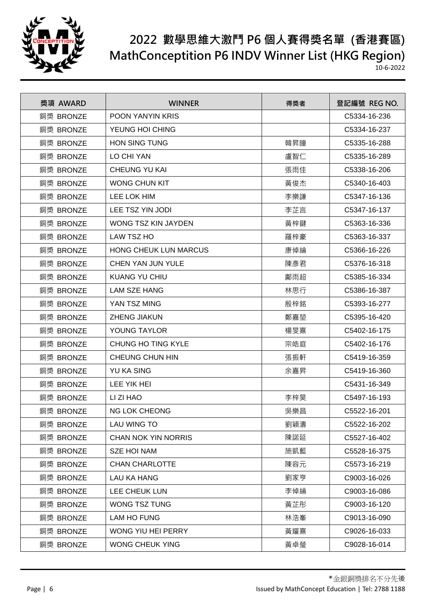

| 獎項 AWARD  | <b>WINNER</b>                | 得獎者 | 登記編號 REG NO. |
|-----------|------------------------------|-----|--------------|
| 銅獎 BRONZE | POON YANYIN KRIS             |     | C5334-16-236 |
| 銅獎 BRONZE | YEUNG HOI CHING              |     | C5334-16-237 |
| 銅獎 BRONZE | <b>HON SING TUNG</b>         | 韓昇瞳 | C5335-16-288 |
| 銅獎 BRONZE | LO CHI YAN                   | 盧智仁 | C5335-16-289 |
| 銅獎 BRONZE | <b>CHEUNG YU KAI</b>         | 張雨佳 | C5338-16-206 |
| 銅獎 BRONZE | <b>WONG CHUN KIT</b>         | 黃俊杰 | C5340-16-403 |
| 銅獎 BRONZE | LEE LOK HIM                  | 李樂謙 | C5347-16-136 |
| 銅獎 BRONZE | LEE TSZ YIN JODI             | 李芷言 | C5347-16-137 |
| 銅獎 BRONZE | WONG TSZ KIN JAYDEN          | 黃梓鍵 | C5363-16-336 |
| 銅獎 BRONZE | LAW TSZ HO                   | 羅梓豪 | C5363-16-337 |
| 銅獎 BRONZE | <b>HONG CHEUK LUN MARCUS</b> | 康倬綸 | C5366-16-226 |
| 銅獎 BRONZE | <b>CHEN YAN JUN YULE</b>     | 陳彥君 | C5376-16-318 |
| 銅獎 BRONZE | <b>KUANG YU CHIU</b>         | 鄺雨超 | C5385-16-334 |
| 銅獎 BRONZE | <b>LAM SZE HANG</b>          | 林思行 | C5386-16-387 |
| 銅獎 BRONZE | YAN TSZ MING                 | 殷梓銘 | C5393-16-277 |
| 銅獎 BRONZE | <b>ZHENG JIAKUN</b>          | 鄭嘉堃 | C5395-16-420 |
| 銅獎 BRONZE | YOUNG TAYLOR                 | 楊旻熹 | C5402-16-175 |
| 銅獎 BRONZE | CHUNG HO TING KYLE           | 宗皓庭 | C5402-16-176 |
| 銅獎 BRONZE | CHEUNG CHUN HIN              | 張振軒 | C5419-16-359 |
| 銅獎 BRONZE | <b>YU KA SING</b>            | 余嘉昇 | C5419-16-360 |
| 銅獎 BRONZE | LEE YIK HEI                  |     | C5431-16-349 |
| 銅獎 BRONZE | LI ZI HAO                    | 李梓昊 | C5497-16-193 |
| 銅獎 BRONZE | <b>NG LOK CHEONG</b>         | 吳樂昌 | C5522-16-201 |
| 銅獎 BRONZE | LAU WING TO                  | 劉穎濤 | C5522-16-202 |
| 銅獎 BRONZE | <b>CHAN NOK YIN NORRIS</b>   | 陳諾延 | C5527-16-402 |
| 銅獎 BRONZE | <b>SZE HOI NAM</b>           | 施凱藍 | C5528-16-375 |
| 銅獎 BRONZE | <b>CHAN CHARLOTTE</b>        | 陳容元 | C5573-16-219 |
| 銅獎 BRONZE | <b>LAU KA HANG</b>           | 劉家亨 | C9003-16-026 |
| 銅獎 BRONZE | LEE CHEUK LUN                | 李倬綸 | C9003-16-086 |
| 銅獎 BRONZE | <b>WONG TSZ TUNG</b>         | 黃芷彤 | C9003-16-120 |
| 銅獎 BRONZE | <b>LAM HO FUNG</b>           | 林浩峯 | C9013-16-090 |
| 銅獎 BRONZE | WONG YIU HEI PERRY           | 黃耀熹 | C9026-16-033 |
| 銅獎 BRONZE | <b>WONG CHEUK YING</b>       | 黃卓瑩 | C9028-16-014 |